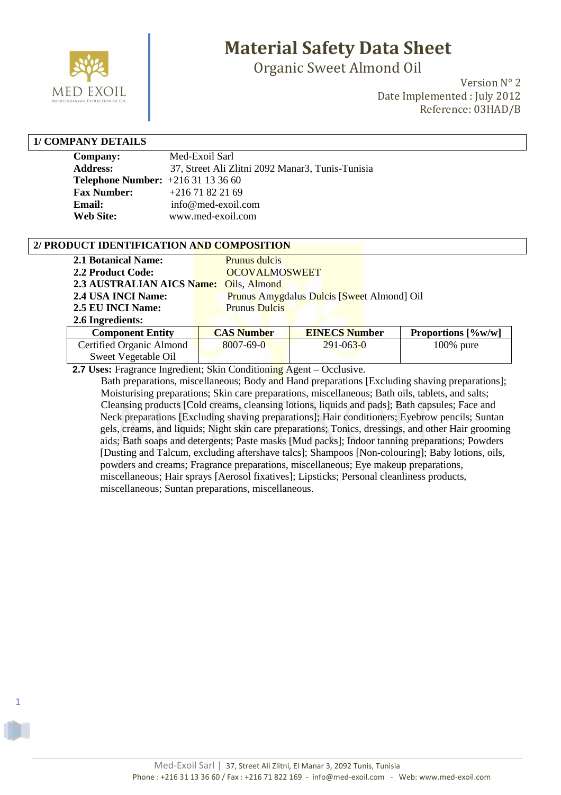

Organic Sweet Almond Oil

Version N° 2 Date Implemented : July 2012 Reference: 03HAD/B

#### **1/ COMPANY DETAILS**

1

| <b>Company:</b>                         | Med-Exoil Sarl                                   |
|-----------------------------------------|--------------------------------------------------|
| <b>Address:</b>                         | 37, Street Ali Zlitni 2092 Manar3, Tunis-Tunisia |
| <b>Telephone Number:</b> $+21631133660$ |                                                  |
| <b>Fax Number:</b>                      | $+21671822169$                                   |
| Email:                                  | info@med-exoil.com                               |
| <b>Web Site:</b>                        | www.med-exoil.com                                |

#### **2/ PRODUCT IDENTIFICATION AND COMPOSITION**

| <b>2.1 Botanical Name:</b>             | Prunus dulcis        |                                            |          |
|----------------------------------------|----------------------|--------------------------------------------|----------|
| 2.2 Product Code:                      | <b>OCOVALMOSWEET</b> |                                            |          |
| 2.3 AUSTRALIAN AICS Name: Oils, Almond |                      |                                            |          |
| 2.4 USA INCI Name:                     |                      | Prunus Amygdalus Dulcis [Sweet Almond] Oil |          |
| 2.5 EU INCI Name:                      | <b>Prunus Dulcis</b> |                                            |          |
| 2.6 Ingredients:                       |                      |                                            |          |
| <b>Component Entity</b>                | <b>CAS Number</b>    | <b>EINECS Number</b>                       | Proporti |

| <b>Component Entity</b>  | <b>CAS Number</b> | <b>EINECS Number</b> | Proportions $[%w/w]$ |
|--------------------------|-------------------|----------------------|----------------------|
| Certified Organic Almond | $8007 - 69 - 0$   | $291 - 063 - 0$      | $100\%$ pure         |
| Sweet Vegetable Oil      |                   |                      |                      |

 **2.7 Uses:** Fragrance Ingredient; Skin Conditioning Agent – Occlusive.

 Bath preparations, miscellaneous; Body and Hand preparations [Excluding shaving preparations]; Moisturising preparations; Skin care preparations, miscellaneous; Bath oils, tablets, and salts; Cleansing products [Cold creams, cleansing lotions, liquids and pads]; Bath capsules; Face and Neck preparations [Excluding shaving preparations]; Hair conditioners; Eyebrow pencils; Suntan gels, creams, and liquids; Night skin care preparations; Tonics, dressings, and other Hair grooming aids; Bath soaps and detergents; Paste masks [Mud packs]; Indoor tanning preparations; Powders [Dusting and Talcum, excluding aftershave talcs]; Shampoos [Non-colouring]; Baby lotions, oils, powders and creams; Fragrance preparations, miscellaneous; Eye makeup preparations, miscellaneous; Hair sprays [Aerosol fixatives]; Lipsticks; Personal cleanliness products, miscellaneous; Suntan preparations, miscellaneous.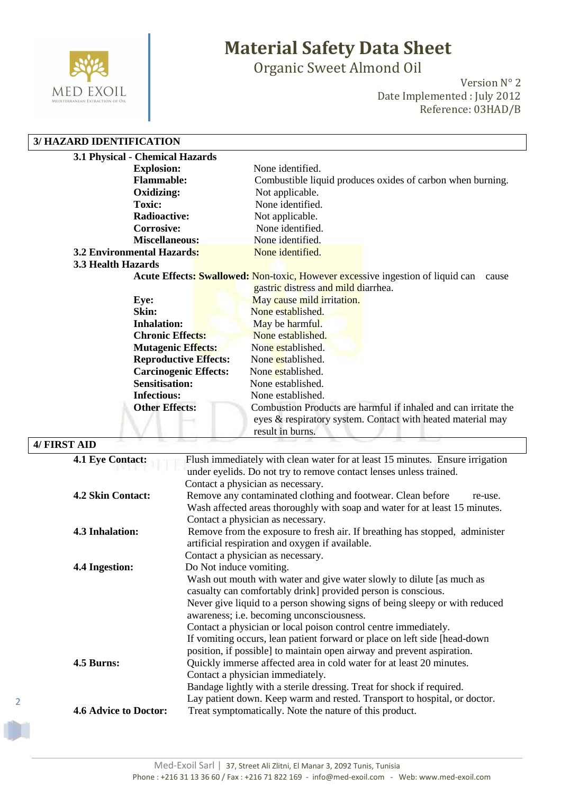

Organic Sweet Almond Oil

Version N° 2 Date Implemented : July 2012 Reference: 03HAD/B

#### **3/ HAZARD IDENTIFICATION**

| 3.1 Physical - Chemical Hazards   |                                                                                                                                                    |
|-----------------------------------|----------------------------------------------------------------------------------------------------------------------------------------------------|
| <b>Explosion:</b>                 | None identified.                                                                                                                                   |
| <b>Flammable:</b>                 | Combustible liquid produces oxides of carbon when burning.                                                                                         |
| Oxidizing:                        | Not applicable.                                                                                                                                    |
| <b>Toxic:</b>                     | None identified.                                                                                                                                   |
| <b>Radioactive:</b>               | Not applicable.                                                                                                                                    |
| <b>Corrosive:</b>                 | None identified.                                                                                                                                   |
| <b>Miscellaneous:</b>             | None identified.                                                                                                                                   |
| <b>3.2 Environmental Hazards:</b> | None identified.                                                                                                                                   |
| 3.3 Health Hazards                |                                                                                                                                                    |
|                                   | <b>Acute Effects: Swallowed: Non-toxic, However excessive ingestion of liquid can</b><br>cause                                                     |
|                                   | gastric distress and mild diarrhea.                                                                                                                |
| Eye:                              | May cause mild irritation.                                                                                                                         |
| Skin:                             | None established.                                                                                                                                  |
| <b>Inhalation:</b>                | May be harmful.                                                                                                                                    |
| <b>Chronic Effects:</b>           | None established.                                                                                                                                  |
| <b>Mutagenic Effects:</b>         | None established.                                                                                                                                  |
| <b>Reproductive Effects:</b>      | None established.                                                                                                                                  |
| <b>Carcinogenic Effects:</b>      | None established.                                                                                                                                  |
| <b>Sensitisation:</b>             | None established.                                                                                                                                  |
| <b>Infectious:</b>                | None established.                                                                                                                                  |
| <b>Other Effects:</b>             | Combustion Products are harmful if inhaled and can irritate the<br>eyes & respiratory system. Contact with heated material may<br>result in burns. |

### **4/ FIRST AID 4.1 Eye Contact:** Flush immediately with clean water for at least 15 minutes. Ensure irrigation under eyelids. Do not try to remove contact lenses unless trained. Contact a physician as necessary. **4.2 Skin Contact:** Remove any contaminated clothing and footwear. Clean before re-use. Wash affected areas thoroughly with soap and water for at least 15 minutes. Contact a physician as necessary. **4.3 Inhalation:** Remove from the exposure to fresh air. If breathing has stopped, administer artificial respiration and oxygen if available. Contact a physician as necessary. **4.4 Ingestion:** Do Not induce vomiting. Wash out mouth with water and give water slowly to dilute [as much as casualty can comfortably drink] provided person is conscious. Never give liquid to a person showing signs of being sleepy or with reduced awareness; i.e. becoming unconsciousness. Contact a physician or local poison control centre immediately. If vomiting occurs, lean patient forward or place on left side [head-down position, if possible] to maintain open airway and prevent aspiration. **4.5 Burns:** Quickly immerse affected area in cold water for at least 20 minutes. Contact a physician immediately. Bandage lightly with a sterile dressing. Treat for shock if required. Lay patient down. Keep warm and rested. Transport to hospital, or doctor. **4.6 Advice to Doctor:** Treat symptomatically. Note the nature of this product.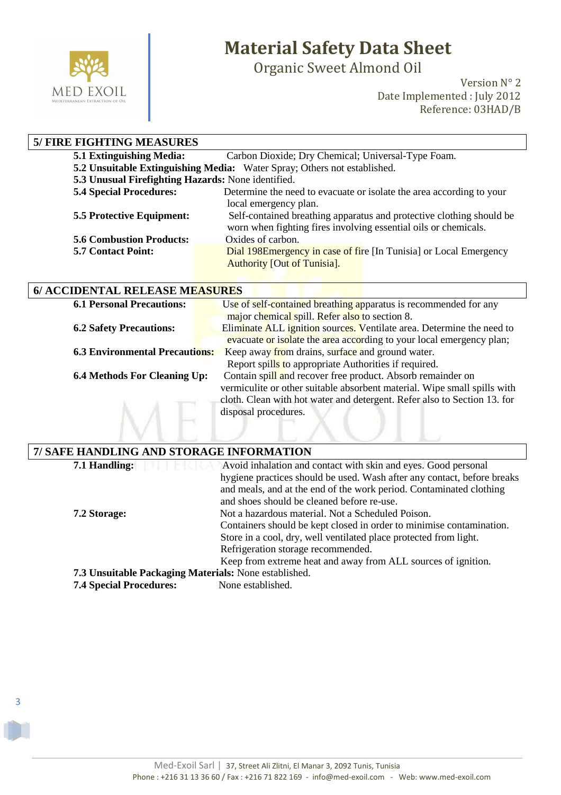

3

# **Material Safety Data Sheet**

Organic Sweet Almond Oil

Version N° 2 Date Implemented : July 2012 Reference: 03HAD/B

| <b>5/ FIRE FIGHTING MEASURES</b>                   |                                                                          |
|----------------------------------------------------|--------------------------------------------------------------------------|
| 5.1 Extinguishing Media:                           | Carbon Dioxide; Dry Chemical; Universal-Type Foam.                       |
|                                                    | 5.2 Unsuitable Extinguishing Media: Water Spray; Others not established. |
| 5.3 Unusual Firefighting Hazards: None identified. |                                                                          |
| <b>5.4 Special Procedures:</b>                     | Determine the need to evacuate or isolate the area according to your     |
|                                                    | local emergency plan.                                                    |
| <b>5.5 Protective Equipment:</b>                   | Self-contained breathing apparatus and protective clothing should be     |
|                                                    | worn when fighting fires involving essential oils or chemicals.          |
| <b>5.6 Combustion Products:</b>                    | Oxides of carbon.                                                        |
| <b>5.7 Contact Point:</b>                          | Dial 198E mergency in case of fire [In Tunisia] or Local Emergency       |
|                                                    | <b>Authority [Out of Tunisia].</b>                                       |

| 6/ ACCIDENTAL RELEASE MEASURES   |                                                                          |  |
|----------------------------------|--------------------------------------------------------------------------|--|
| <b>6.1 Personal Precautions:</b> | Use of self-contained breathing apparatus is recommended for any         |  |
|                                  | $\frac{1}{2}$ maior chemical smill $\frac{1}{2}$ Refer also to section 8 |  |

|                                       | major chemical spill. Refer also to section 8.                           |
|---------------------------------------|--------------------------------------------------------------------------|
| <b>6.2 Safety Precautions:</b>        | Eliminate ALL ignition sources. Ventilate area. Determine the need to    |
|                                       | evacuate or isolate the area according to your local emergency plan;     |
| <b>6.3 Environmental Precautions:</b> | Keep away from drains, surface and ground water.                         |
|                                       | Report spills to appropriate Authorities if required.                    |
| <b>6.4 Methods For Cleaning Up:</b>   | Contain spill and recover free product. Absorb remainder on              |
|                                       | vermiculite or other suitable absorbent material. Wipe small spills with |
|                                       | cloth. Clean with hot water and detergent. Refer also to Section 13. for |
|                                       | disposal procedures.                                                     |
|                                       |                                                                          |
|                                       |                                                                          |

| 7/ SAFE HANDLING AND STORAGE INFORMATION              |                                                                         |  |
|-------------------------------------------------------|-------------------------------------------------------------------------|--|
| 7.1 Handling:                                         | Avoid inhalation and contact with skin and eyes. Good personal          |  |
|                                                       | hygiene practices should be used. Wash after any contact, before breaks |  |
|                                                       | and meals, and at the end of the work period. Contaminated clothing     |  |
|                                                       | and shoes should be cleaned before re-use.                              |  |
| 7.2 Storage:                                          | Not a hazardous material. Not a Scheduled Poison.                       |  |
|                                                       | Containers should be kept closed in order to minimise contamination.    |  |
|                                                       | Store in a cool, dry, well ventilated place protected from light.       |  |
|                                                       | Refrigeration storage recommended.                                      |  |
|                                                       | Keep from extreme heat and away from ALL sources of ignition.           |  |
| 7.3 Unsuitable Packaging Materials: None established. |                                                                         |  |
| <b>7.4 Special Procedures:</b>                        | None established.                                                       |  |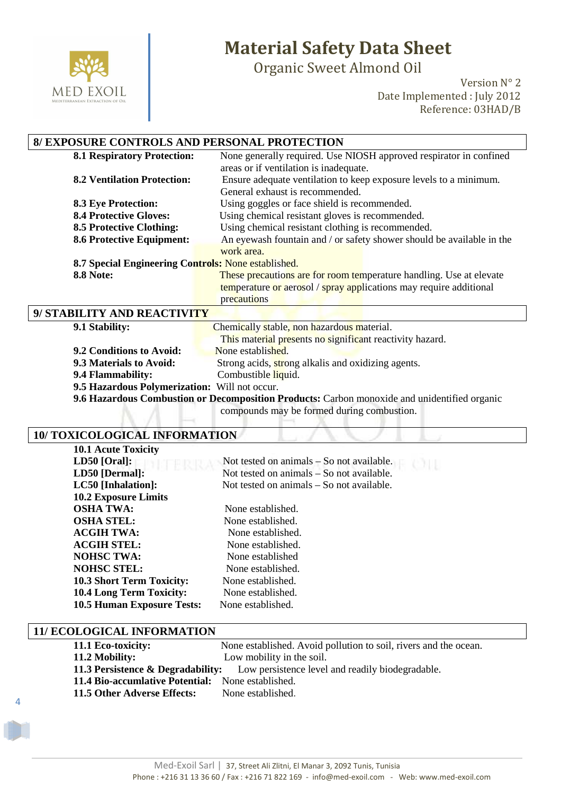

Organic Sweet Almond Oil

Version N° 2 Date Implemented : July 2012 Reference: 03HAD/B

### **8/ EXPOSURE CONTROLS AND PERSONAL PROTECTION**

| <b>8.1 Respiratory Protection:</b>                  | None generally required. Use NIOSH approved respirator in confined    |
|-----------------------------------------------------|-----------------------------------------------------------------------|
|                                                     | areas or if ventilation is inadequate.                                |
| <b>8.2 Ventilation Protection:</b>                  | Ensure adequate ventilation to keep exposure levels to a minimum.     |
|                                                     | General exhaust is recommended.                                       |
| <b>8.3 Eye Protection:</b>                          | Using goggles or face shield is recommended.                          |
| <b>8.4 Protective Gloves:</b>                       | Using chemical resistant gloves is recommended.                       |
| <b>8.5 Protective Clothing:</b>                     | Using chemical resistant clothing is recommended.                     |
| <b>8.6 Protective Equipment:</b>                    | An eyewash fountain and / or safety shower should be available in the |
|                                                     | work area.                                                            |
| 8.7 Special Engineering Controls: None established. |                                                                       |
| <b>8.8 Note:</b>                                    | These precautions are for room temperature handling. Use at elevate   |
|                                                     | temperature or aerosol / spray applications may require additional    |
|                                                     | precautions                                                           |
| <b>BILITY AND REACTIVITY</b>                        |                                                                       |

| 9/ STABILITY AND REACTIVITY                                                                  |                                                          |  |
|----------------------------------------------------------------------------------------------|----------------------------------------------------------|--|
| 9.1 Stability:                                                                               | Chemically stable, non hazardous material.               |  |
|                                                                                              | This material presents no significant reactivity hazard. |  |
| 9.2 Conditions to Avoid:                                                                     | None established.                                        |  |
| 9.3 Materials to Avoid:                                                                      | Strong acids, strong alkalis and oxidizing agents.       |  |
| 9.4 Flammability:                                                                            | Combustible liquid.                                      |  |
| 9.5 Hazardous Polymerization: Will not occur.                                                |                                                          |  |
| 9.6 Hazardous Combustion or Decomposition Products: Carbon monoxide and unidentified organic |                                                          |  |

compounds may be formed during combustion.

#### **10/ TOXICOLOGICAL INFORMATION**

| <b>10.1 Acute Toxicity</b>        |                                             |
|-----------------------------------|---------------------------------------------|
| $LD50$ [Oral]:                    | Not tested on animals $-$ So not available. |
| LD50 [Dermal]:                    | Not tested on animals – So not available.   |
| LC50 [Inhalation]:                | Not tested on animals – So not available.   |
| <b>10.2 Exposure Limits</b>       |                                             |
| <b>OSHA TWA:</b>                  | None established.                           |
| <b>OSHA STEL:</b>                 | None established.                           |
| <b>ACGIH TWA:</b>                 | None established.                           |
| <b>ACGIH STEL:</b>                | None established.                           |
| <b>NOHSC TWA:</b>                 | None established                            |
| <b>NOHSC STEL:</b>                | None established.                           |
| <b>10.3 Short Term Toxicity:</b>  | None established.                           |
| <b>10.4 Long Term Toxicity:</b>   | None established.                           |
| <b>10.5 Human Exposure Tests:</b> | None established.                           |

#### **11/ ECOLOGICAL INFORMATION**

4

| 11.1 Eco-toxicity:                                | None established. Avoid pollution to soil, rivers and the ocean.                              |
|---------------------------------------------------|-----------------------------------------------------------------------------------------------|
| 11.2 Mobility:                                    | Low mobility in the soil.                                                                     |
|                                                   | <b>11.3 Persistence &amp; Degradability:</b> Low persistence level and readily biodegradable. |
| 11.4 Bio-accumlative Potential: None established. |                                                                                               |
| 11.5 Other Adverse Effects:                       | None established.                                                                             |
|                                                   |                                                                                               |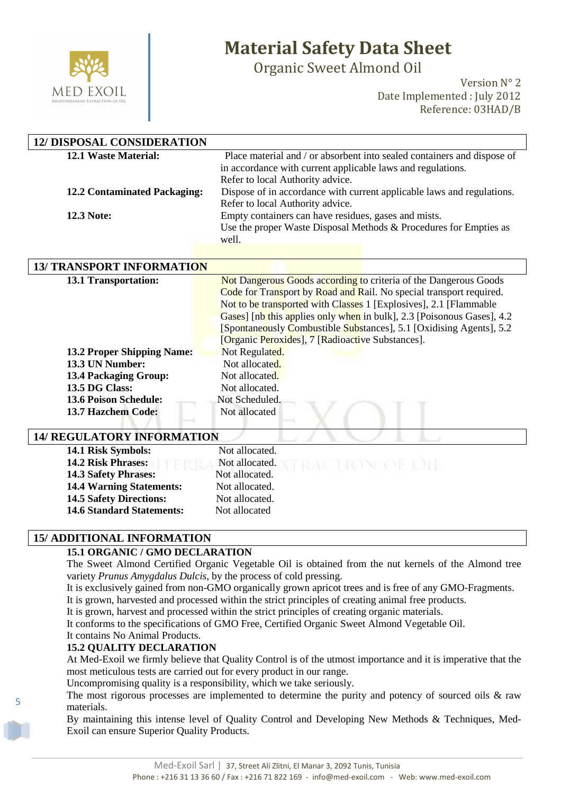

Organic Sweet Almond Oil

Version N° 2 Date Implemented : July 2012 Reference: 03HAD/B

| <b>12/ DISPOSAL CONSIDERATION</b>   |                                                                            |
|-------------------------------------|----------------------------------------------------------------------------|
| 12.1 Waste Material:                | Place material and / or absorbent into sealed containers and dispose of    |
|                                     | in accordance with current applicable laws and regulations.                |
|                                     | Refer to local Authority advice.                                           |
| <b>12.2 Contaminated Packaging:</b> | Dispose of in accordance with current applicable laws and regulations.     |
|                                     | Refer to local Authority advice.                                           |
| 12.3 Note:                          | Empty containers can have residues, gases and mists.                       |
|                                     | Use the proper Waste Disposal Methods & Procedures for Empties as<br>well. |
|                                     |                                                                            |
|                                     |                                                                            |
| <b>13/ TRANSPORT INFORMATION</b>    |                                                                            |
| 13.1 Transportation:                | Not Dangerous Goods according to criteria of the Dangerous Goods           |
|                                     | Code for Transport by Road and Rail. No special transport required.        |
|                                     | Not to be transported with Classes 1 [Explosives], 2.1 [Flammable          |
|                                     | Gases] [nb this applies only when in bulk], 2.3 [Poisonous Gases], 4.2     |
|                                     | [Spontaneously Combustible Substances], 5.1 [Oxidising Agents], 5.2        |
|                                     | [Organic Peroxides], 7 [Radioactive Substances].                           |
| <b>13.2 Proper Shipping Name:</b>   | Not Regulated.                                                             |
| 13.3 UN Number:                     | Not allocated.                                                             |
| <b>13.4 Packaging Group:</b>        | Not allocated.                                                             |
| 13.5 DG Class:                      | Not allocated.                                                             |
| <b>13.6 Poison Schedule:</b>        | Not Scheduled.                                                             |
| 13.7 Hazchem Code:                  | Not allocated                                                              |
| <b>14/ REGULATORY INFORMATION</b>   |                                                                            |
| 14.1 Risk Symbols:                  | Not allocated.                                                             |
| 14.2 Risk Phrases:                  | Not allocated.                                                             |
| 14.3 Safety Phrases:                | Not allocated.                                                             |
| <b>14.4 Warning Statements:</b>     | Not allocated.                                                             |

#### **15/ ADDITIONAL INFORMATION**

#### **15.1 ORGANIC / GMO DECLARATION**

**14.5 Safety Directions:** Not allocated. **14.6 Standard Statements:** Not allocated

The Sweet Almond Certified Organic Vegetable Oil is obtained from the nut kernels of the Almond tree variety *Prunus Amygdalus Dulcis*, by the process of cold pressing.

It is exclusively gained from non-GMO organically grown apricot trees and is free of any GMO-Fragments.

It is grown, harvested and processed within the strict principles of creating animal free products.

It is grown, harvest and processed within the strict principles of creating organic materials.

It conforms to the specifications of GMO Free, Certified Organic Sweet Almond Vegetable Oil.

#### It contains No Animal Products. **15.2 QUALITY DECLARATION**

5

At Med-Exoil we firmly believe that Quality Control is of the utmost importance and it is imperative that the most meticulous tests are carried out for every product in our range.

Uncompromising quality is a responsibility, which we take seriously.

The most rigorous processes are implemented to determine the purity and potency of sourced oils & raw materials.

By maintaining this intense level of Quality Control and Developing New Methods & Techniques, Med-Exoil can ensure Superior Quality Products.